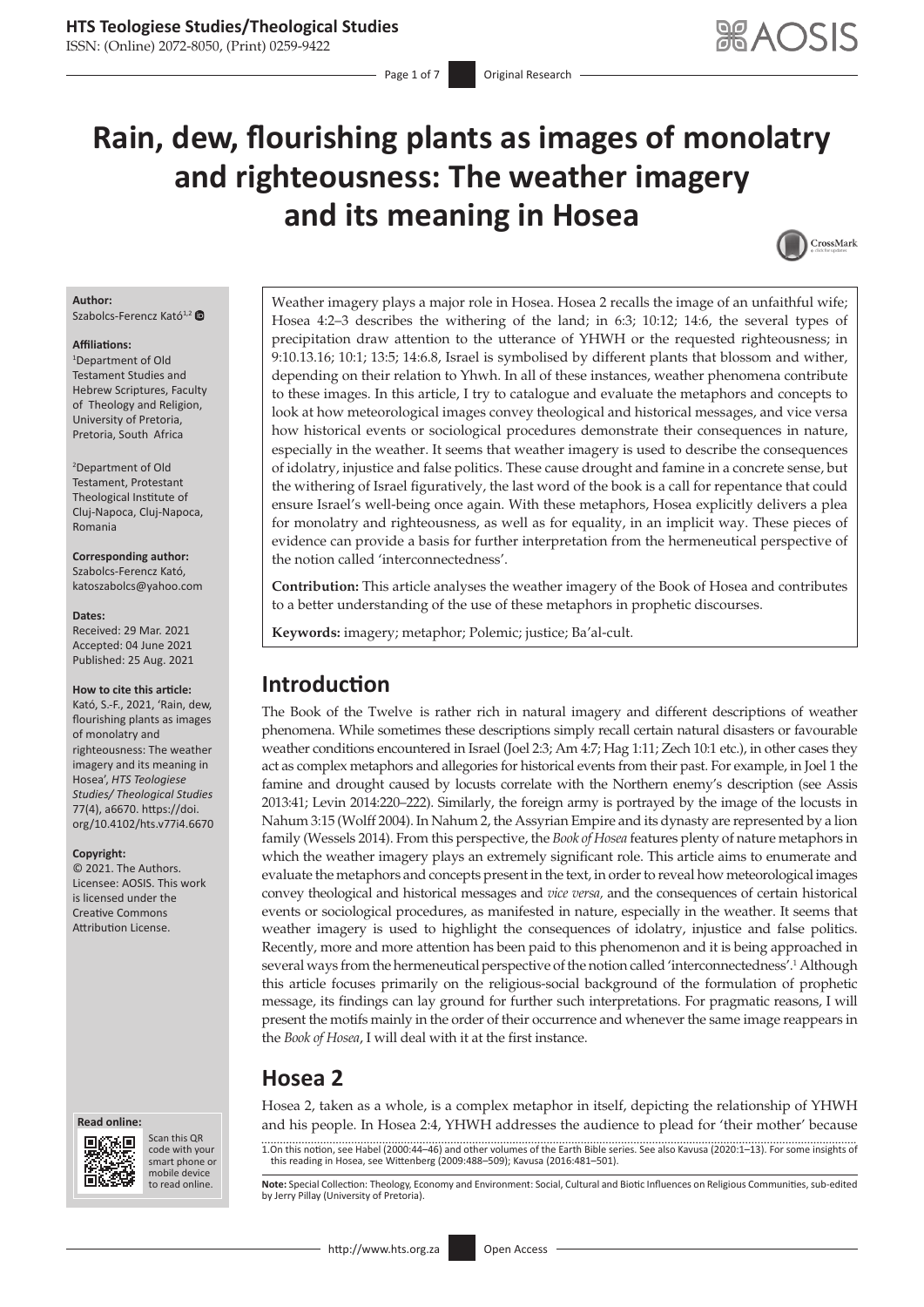# **Rain, dew, flourishing plants as images of monolatry and righteousness: The weather imagery and its meaning in Hosea**



#### **Author:** Szabolcs-Ferencz Kató<sup>1,2</sup>

#### **Affiliations:**

1 Department of Old Testament Studies and Hebrew Scriptures, Faculty of Theology and Religion, University of Pretoria, Pretoria, South Africa

2 Department of Old Testament, Protestant Theological Institute of Cluj-Napoca, Cluj-Napoca, Romania

**Corresponding author:** Szabolcs-Ferencz Kató, [katoszabolcs@yahoo.com](mailto:katoszabolcs@yahoo.com)

**Dates:**

Received: 29 Mar. 2021 Accepted: 04 June 2021 Published: 25 Aug. 2021

#### **How to cite this article:**

Kató, S.-F., 2021, 'Rain, dew, flourishing plants as images of monolatry and righteousness: The weather imagery and its meaning in Hosea', *HTS Teologiese Studies/ Theological Studies* 77(4), a6670. [https://doi.](https://doi.org/10.4102/hts.v77i4.6670) [org/10.4102/hts.v77i4.6670](https://doi.org/10.4102/hts.v77i4.6670)

**Copyright:**

© 2021. The Authors. Licensee: AOSIS. This work is licensed under the Creative Commons Attribution License.





Scan this QR code with your Scan this QR<br>code with your<br>smart phone or<br>mobile device mobile device to read online.

Weather imagery plays a major role in Hosea. Hosea 2 recalls the image of an unfaithful wife; Hosea 4:2–3 describes the withering of the land; in 6:3; 10:12; 14:6, the several types of precipitation draw attention to the utterance of YHWH or the requested righteousness; in 9:10.13.16; 10:1; 13:5; 14:6.8, Israel is symbolised by different plants that blossom and wither, depending on their relation to Yhwh. In all of these instances, weather phenomena contribute to these images. In this article, I try to catalogue and evaluate the metaphors and concepts to look at how meteorological images convey theological and historical messages, and vice versa how historical events or sociological procedures demonstrate their consequences in nature, especially in the weather. It seems that weather imagery is used to describe the consequences of idolatry, injustice and false politics. These cause drought and famine in a concrete sense, but the withering of Israel figuratively, the last word of the book is a call for repentance that could ensure Israel's well-being once again. With these metaphors, Hosea explicitly delivers a plea for monolatry and righteousness, as well as for equality, in an implicit way. These pieces of evidence can provide a basis for further interpretation from the hermeneutical perspective of the notion called 'interconnectedness'.

**Contribution:** This article analyses the weather imagery of the Book of Hosea and contributes to a better understanding of the use of these metaphors in prophetic discourses.

**Keywords:** imagery; metaphor; Polemic; justice; Ba'al-cult.

# **Introduction**

The Book of the Twelve is rather rich in natural imagery and different descriptions of weather phenomena. While sometimes these descriptions simply recall certain natural disasters or favourable weather conditions encountered in Israel (Joel 2:3; Am 4:7; Hag 1:11; Zech 10:1 etc.), in other cases they act as complex metaphors and allegories for historical events from their past. For example, in Joel 1 the famine and drought caused by locusts correlate with the Northern enemy's description (see Assis 2013:41; Levin 2014:220–222). Similarly, the foreign army is portrayed by the image of the locusts in Nahum 3:15 (Wolff 2004). In Nahum 2, the Assyrian Empire and its dynasty are represented by a lion family (Wessels 2014). From this perspective, the *Book of Hosea* features plenty of nature metaphors in which the weather imagery plays an extremely significant role. This article aims to enumerate and evaluate the metaphors and concepts present in the text, in order to reveal how meteorological images convey theological and historical messages and *vice versa,* and the consequences of certain historical events or sociological procedures, as manifested in nature, especially in the weather. It seems that weather imagery is used to highlight the consequences of idolatry, injustice and false politics. Recently, more and more attention has been paid to this phenomenon and it is being approached in several ways from the hermeneutical perspective of the notion called 'interconnectedness'.<sup>1</sup> Although this article focuses primarily on the religious-social background of the formulation of prophetic message, its findings can lay ground for further such interpretations. For pragmatic reasons, I will present the motifs mainly in the order of their occurrence and whenever the same image reappears in the *Book of Hosea*, I will deal with it at the first instance.

# **Hosea 2**

Hosea 2, taken as a whole, is a complex metaphor in itself, depicting the relationship of YHWH and his people. In Hosea 2:4, YHWH addresses the audience to plead for 'their mother' because

1.On this notion, see Habel (2000:44–46) and other volumes of the Earth Bible series. See also Kavusa (2020:1–13). For some insights of this reading in Hosea, see Wittenberg (2009:488–509); Kavusa (2016:481–501).

Note: Special Collection: Theology, Economy and Environment: Social, Cultural and Biotic Influences on Religious Communities, sub-edited by Jerry Pillay (University of Pretoria).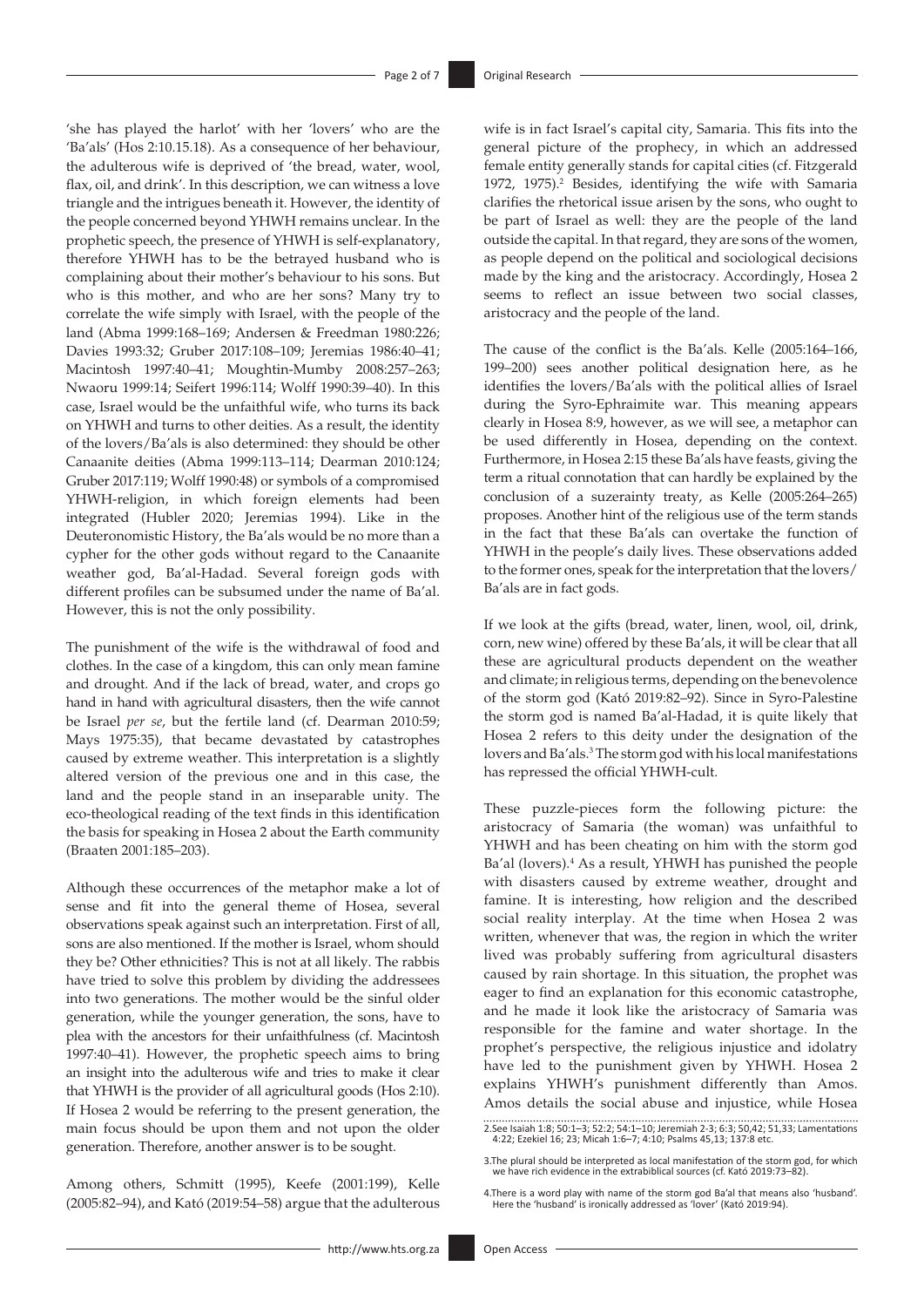'she has played the harlot' with her 'lovers' who are the 'Ba'als' (Hos 2:10.15.18). As a consequence of her behaviour, the adulterous wife is deprived of 'the bread, water, wool, flax, oil, and drink'. In this description, we can witness a love triangle and the intrigues beneath it. However, the identity of the people concerned beyond YHWH remains unclear. In the prophetic speech, the presence of YHWH is self-explanatory, therefore YHWH has to be the betrayed husband who is complaining about their mother's behaviour to his sons. But who is this mother, and who are her sons? Many try to correlate the wife simply with Israel, with the people of the land (Abma 1999:168–169; Andersen & Freedman 1980:226; Davies 1993:32; Gruber 2017:108–109; Jeremias 1986:40–41; Macintosh 1997:40–41; Moughtin-Mumby 2008:257–263; Nwaoru 1999:14; Seifert 1996:114; Wolff 1990:39–40). In this case, Israel would be the unfaithful wife, who turns its back on YHWH and turns to other deities. As a result, the identity of the lovers/Ba'als is also determined: they should be other Canaanite deities (Abma 1999:113–114; Dearman 2010:124; Gruber 2017:119; Wolff 1990:48) or symbols of a compromised YHWH-religion, in which foreign elements had been integrated (Hubler 2020; Jeremias 1994). Like in the Deuteronomistic History, the Ba'als would be no more than a cypher for the other gods without regard to the Canaanite weather god, Ba'al-Hadad. Several foreign gods with different profiles can be subsumed under the name of Ba'al. However, this is not the only possibility.

The punishment of the wife is the withdrawal of food and clothes. In the case of a kingdom, this can only mean famine and drought. And if the lack of bread, water, and crops go hand in hand with agricultural disasters, then the wife cannot be Israel *per se*, but the fertile land (cf. Dearman 2010:59; Mays 1975:35), that became devastated by catastrophes caused by extreme weather. This interpretation is a slightly altered version of the previous one and in this case, the land and the people stand in an inseparable unity. The eco-theological reading of the text finds in this identification the basis for speaking in Hosea 2 about the Earth community (Braaten 2001:185–203).

Although these occurrences of the metaphor make a lot of sense and fit into the general theme of Hosea, several observations speak against such an interpretation. First of all, sons are also mentioned. If the mother is Israel, whom should they be? Other ethnicities? This is not at all likely. The rabbis have tried to solve this problem by dividing the addressees into two generations. The mother would be the sinful older generation, while the younger generation, the sons, have to plea with the ancestors for their unfaithfulness (cf. Macintosh 1997:40–41). However, the prophetic speech aims to bring an insight into the adulterous wife and tries to make it clear that YHWH is the provider of all agricultural goods (Hos 2:10). If Hosea 2 would be referring to the present generation, the main focus should be upon them and not upon the older generation. Therefore, another answer is to be sought.

Among others, Schmitt (1995), Keefe (2001:199), Kelle (2005:82–94), and Kató (2019:54–58) argue that the adulterous

wife is in fact Israel's capital city, Samaria. This fits into the general picture of the prophecy, in which an addressed female entity generally stands for capital cities (cf. Fitzgerald 1972, 1975).<sup>2</sup> Besides, identifying the wife with Samaria clarifies the rhetorical issue arisen by the sons, who ought to be part of Israel as well: they are the people of the land outside the capital. In that regard, they are sons of the women, as people depend on the political and sociological decisions made by the king and the aristocracy. Accordingly, Hosea 2 seems to reflect an issue between two social classes, aristocracy and the people of the land.

The cause of the conflict is the Ba'als. Kelle (2005:164–166, 199–200) sees another political designation here, as he identifies the lovers/Ba'als with the political allies of Israel during the Syro-Ephraimite war. This meaning appears clearly in Hosea 8:9, however, as we will see, a metaphor can be used differently in Hosea, depending on the context. Furthermore, in Hosea 2:15 these Ba'als have feasts, giving the term a ritual connotation that can hardly be explained by the conclusion of a suzerainty treaty, as Kelle (2005:264–265) proposes. Another hint of the religious use of the term stands in the fact that these Ba'als can overtake the function of YHWH in the people's daily lives. These observations added to the former ones, speak for the interpretation that the lovers/ Ba'als are in fact gods.

If we look at the gifts (bread, water, linen, wool, oil, drink, corn, new wine) offered by these Ba'als, it will be clear that all these are agricultural products dependent on the weather and climate; in religious terms, depending on the benevolence of the storm god (Kató 2019:82–92). Since in Syro-Palestine the storm god is named Ba'al-Hadad, it is quite likely that Hosea 2 refers to this deity under the designation of the lovers and Ba'als.<sup>3</sup> The storm god with his local manifestations has repressed the official YHWH-cult.

These puzzle-pieces form the following picture: the aristocracy of Samaria (the woman) was unfaithful to YHWH and has been cheating on him with the storm god Ba'al (lovers).<sup>4</sup> As a result, YHWH has punished the people with disasters caused by extreme weather, drought and famine. It is interesting, how religion and the described social reality interplay. At the time when Hosea 2 was written, whenever that was, the region in which the writer lived was probably suffering from agricultural disasters caused by rain shortage. In this situation, the prophet was eager to find an explanation for this economic catastrophe, and he made it look like the aristocracy of Samaria was responsible for the famine and water shortage. In the prophet's perspective, the religious injustice and idolatry have led to the punishment given by YHWH. Hosea 2 explains YHWH's punishment differently than Amos. Amos details the social abuse and injustice, while Hosea

<sup>2.</sup>See Isaiah 1:8; 50:1–3; 52:2; 54:1–10; Jeremiah 2-3; 6:3; 50,42; 51,33; Lamentations 4:22; Ezekiel 16; 23; Micah 1:6–7; 4:10; Psalms 45,13; 137:8 etc.

<sup>3.</sup>The plural should be interpreted as local manifestation of the storm god, for which we have rich evidence in the extrabiblical sources (cf. Kató 2019:73–82).

<sup>4.</sup>There is a word play with name of the storm god Ba'al that means also 'husband'. Here the 'husband' is ironically addressed as 'lover' (Kató 2019:94).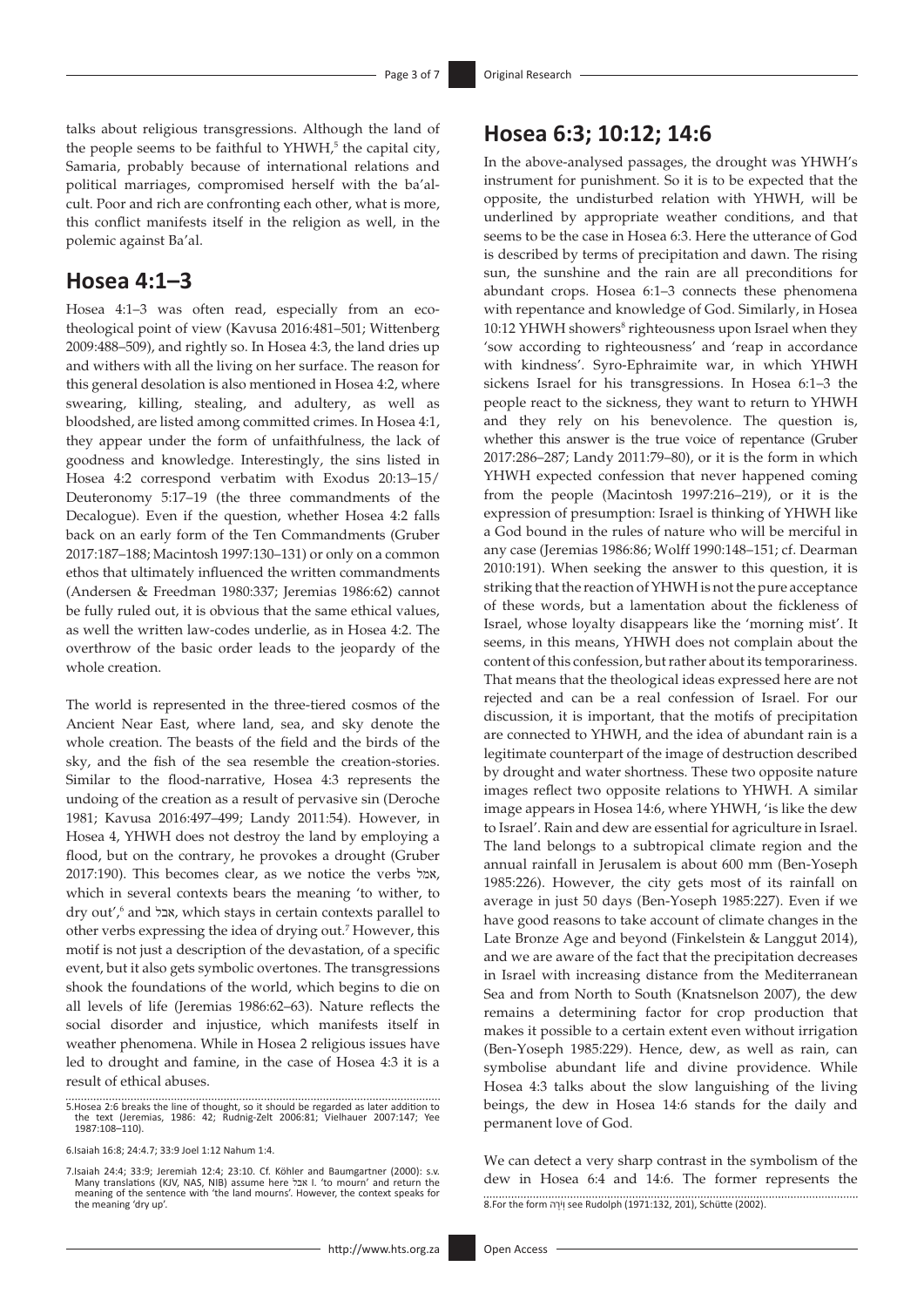talks about religious transgressions. Although the land of the people seems to be faithful to YHWH,<sup>5</sup> the capital city, Samaria, probably because of international relations and political marriages, compromised herself with the ba'alcult. Poor and rich are confronting each other, what is more, this conflict manifests itself in the religion as well, in the polemic against Ba'al.

### **Hosea 4:1–3**

Hosea 4:1–3 was often read, especially from an ecotheological point of view (Kavusa 2016:481–501; Wittenberg 2009:488–509), and rightly so. In Hosea 4:3, the land dries up and withers with all the living on her surface. The reason for this general desolation is also mentioned in Hosea 4:2, where swearing, killing, stealing, and adultery, as well as bloodshed, are listed among committed crimes. In Hosea 4:1, they appear under the form of unfaithfulness, the lack of goodness and knowledge. Interestingly, the sins listed in Hosea 4:2 correspond verbatim with Exodus 20:13–15/ Deuteronomy 5:17–19 (the three commandments of the Decalogue). Even if the question, whether Hosea 4:2 falls back on an early form of the Ten Commandments (Gruber 2017:187–188; Macintosh 1997:130–131) or only on a common ethos that ultimately influenced the written commandments (Andersen & Freedman 1980:337; Jeremias 1986:62) cannot be fully ruled out, it is obvious that the same ethical values, as well the written law-codes underlie, as in Hosea 4:2. The overthrow of the basic order leads to the jeopardy of the whole creation.

The world is represented in the three-tiered cosmos of the Ancient Near East, where land, sea, and sky denote the whole creation. The beasts of the field and the birds of the sky, and the fish of the sea resemble the creation-stories. Similar to the flood-narrative, Hosea 4:3 represents the undoing of the creation as a result of pervasive sin (Deroche 1981; Kavusa 2016:497–499; Landy 2011:54). However, in Hosea 4, YHWH does not destroy the land by employing a flood, but on the contrary, he provokes a drought (Gruber 2017:190). This becomes clear, as we notice the verbs אמל, which in several contexts bears the meaning 'to wither, to dry out',6 and אבל, which stays in certain contexts parallel to other verbs expressing the idea of drying out.7 However, this motif is not just a description of the devastation, of a specific event, but it also gets symbolic overtones. The transgressions shook the foundations of the world, which begins to die on all levels of life (Jeremias 1986:62–63). Nature reflects the social disorder and injustice, which manifests itself in weather phenomena. While in Hosea 2 religious issues have led to drought and famine, in the case of Hosea 4:3 it is a result of ethical abuses.

5.Hosea 2:6 breaks the line of thought, so it should be regarded as later addition to the text (Jeremias, 1986: 42; Rudnig-Zelt 2006:81; Vielhauer 2007:147; Yee 1987:108–110).

7.Isaiah 24:4; 33:9; Jeremiah 12:4; 23:10. Cf. Köhler and Baumgartner (2000): s.v. Many translations (KJV, NAS, NIB) assume here אבל I. 'to mourn' and return the meaning of the sentence with 'the land mourns'. However, the context speaks for the meaning 'dry up'.

### **Hosea 6:3; 10:12; 14:6**

In the above-analysed passages, the drought was YHWH's instrument for punishment. So it is to be expected that the opposite, the undisturbed relation with YHWH, will be underlined by appropriate weather conditions, and that seems to be the case in Hosea 6:3. Here the utterance of God is described by terms of precipitation and dawn. The rising sun, the sunshine and the rain are all preconditions for abundant crops. Hosea 6:1–3 connects these phenomena with repentance and knowledge of God. Similarly, in Hosea 10:12 YHWH showers<sup>8</sup> righteousness upon Israel when they 'sow according to righteousness' and 'reap in accordance with kindness'. Syro-Ephraimite war, in which YHWH sickens Israel for his transgressions. In Hosea 6:1–3 the people react to the sickness, they want to return to YHWH and they rely on his benevolence. The question is, whether this answer is the true voice of repentance (Gruber 2017:286–287; Landy 2011:79–80), or it is the form in which YHWH expected confession that never happened coming from the people (Macintosh 1997:216–219), or it is the expression of presumption: Israel is thinking of YHWH like a God bound in the rules of nature who will be merciful in any case (Jeremias 1986:86; Wolff 1990:148–151; cf. Dearman 2010:191). When seeking the answer to this question, it is striking that the reaction of YHWH is not the pure acceptance of these words, but a lamentation about the fickleness of Israel, whose loyalty disappears like the 'morning mist'. It seems, in this means, YHWH does not complain about the content of this confession, but rather about its temporariness. That means that the theological ideas expressed here are not rejected and can be a real confession of Israel. For our discussion, it is important, that the motifs of precipitation are connected to YHWH, and the idea of abundant rain is a legitimate counterpart of the image of destruction described by drought and water shortness. These two opposite nature images reflect two opposite relations to YHWH. A similar image appears in Hosea 14:6, where YHWH, 'is like the dew to Israel'. Rain and dew are essential for agriculture in Israel. The land belongs to a subtropical climate region and the annual rainfall in Jerusalem is about 600 mm (Ben-Yoseph 1985:226). However, the city gets most of its rainfall on average in just 50 days (Ben-Yoseph 1985:227). Even if we have good reasons to take account of climate changes in the Late Bronze Age and beyond (Finkelstein & Langgut 2014), and we are aware of the fact that the precipitation decreases in Israel with increasing distance from the Mediterranean Sea and from North to South (Knatsnelson 2007), the dew remains a determining factor for crop production that makes it possible to a certain extent even without irrigation (Ben-Yoseph 1985:229). Hence, dew, as well as rain, can symbolise abundant life and divine providence. While Hosea 4:3 talks about the slow languishing of the living beings, the dew in Hosea 14:6 stands for the daily and permanent love of God.

We can detect a very sharp contrast in the symbolism of the dew in Hosea 6:4 and 14:6. The former represents the 8.For the form ה ֶרֹיְו see Rudolph (1971:132, 201), Schütte (2002).

<sup>6.</sup>Isaiah 16:8; 24:4.7; 33:9 Joel 1:12 Nahum 1:4.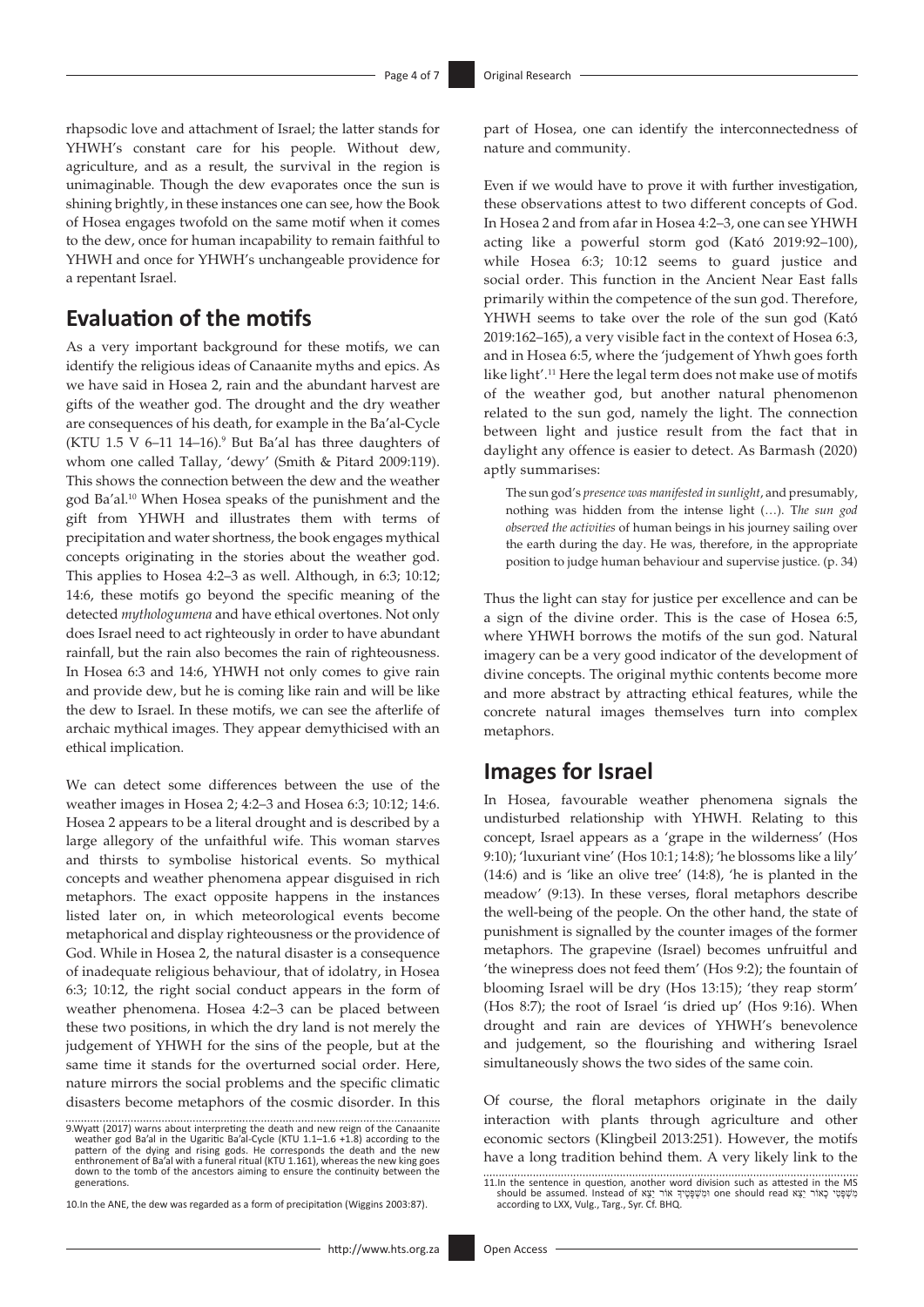rhapsodic love and attachment of Israel; the latter stands for YHWH's constant care for his people. Without dew, agriculture, and as a result, the survival in the region is unimaginable. Though the dew evaporates once the sun is shining brightly, in these instances one can see, how the Book of Hosea engages twofold on the same motif when it comes to the dew, once for human incapability to remain faithful to YHWH and once for YHWH's unchangeable providence for a repentant Israel.

### **Evaluation of the motifs**

As a very important background for these motifs, we can identify the religious ideas of Canaanite myths and epics. As we have said in Hosea 2, rain and the abundant harvest are gifts of the weather god. The drought and the dry weather are consequences of his death, for example in the Ba'al-Cycle (KTU 1.5 V 6-11 14-16).<sup>9</sup> But Ba'al has three daughters of whom one called Tallay, 'dewy' (Smith & Pitard 2009:119). This shows the connection between the dew and the weather god Ba'al.10 When Hosea speaks of the punishment and the gift from YHWH and illustrates them with terms of precipitation and water shortness, the book engages mythical concepts originating in the stories about the weather god. This applies to Hosea 4:2–3 as well. Although, in 6:3; 10:12; 14:6, these motifs go beyond the specific meaning of the detected *mythologumena* and have ethical overtones. Not only does Israel need to act righteously in order to have abundant rainfall, but the rain also becomes the rain of righteousness. In Hosea 6:3 and 14:6, YHWH not only comes to give rain and provide dew, but he is coming like rain and will be like the dew to Israel. In these motifs, we can see the afterlife of archaic mythical images. They appear demythicised with an ethical implication.

We can detect some differences between the use of the weather images in Hosea 2; 4:2–3 and Hosea 6:3; 10:12; 14:6. Hosea 2 appears to be a literal drought and is described by a large allegory of the unfaithful wife. This woman starves and thirsts to symbolise historical events. So mythical concepts and weather phenomena appear disguised in rich metaphors. The exact opposite happens in the instances listed later on, in which meteorological events become metaphorical and display righteousness or the providence of God. While in Hosea 2, the natural disaster is a consequence of inadequate religious behaviour, that of idolatry, in Hosea 6:3; 10:12, the right social conduct appears in the form of weather phenomena. Hosea 4:2–3 can be placed between these two positions, in which the dry land is not merely the judgement of YHWH for the sins of the people, but at the same time it stands for the overturned social order. Here, nature mirrors the social problems and the specific climatic disasters become metaphors of the cosmic disorder. In this

10.In the ANE, the dew was regarded as a form of precipitation (Wiggins 2003:87).

part of Hosea, one can identify the interconnectedness of nature and community.

Even if we would have to prove it with further investigation, these observations attest to two different concepts of God. In Hosea 2 and from afar in Hosea 4:2–3, one can see YHWH acting like a powerful storm god (Kató 2019:92–100), while Hosea 6:3; 10:12 seems to guard justice and social order. This function in the Ancient Near East falls primarily within the competence of the sun god. Therefore, YHWH seems to take over the role of the sun god (Kató 2019:162–165), a very visible fact in the context of Hosea 6:3, and in Hosea 6:5, where the 'judgement of Yhwh goes forth like light'.11 Here the legal term does not make use of motifs of the weather god, but another natural phenomenon related to the sun god, namely the light. The connection between light and justice result from the fact that in daylight any offence is easier to detect. As Barmash (2020) aptly summarises:

The sun god's *presence was manifested in sunlight*, and presumably, nothing was hidden from the intense light (…). T*he sun god observed the activities* of human beings in his journey sailing over the earth during the day. He was, therefore, in the appropriate position to judge human behaviour and supervise justice. (p. 34)

Thus the light can stay for justice per excellence and can be a sign of the divine order. This is the case of Hosea 6:5, where YHWH borrows the motifs of the sun god. Natural imagery can be a very good indicator of the development of divine concepts. The original mythic contents become more and more abstract by attracting ethical features, while the concrete natural images themselves turn into complex metaphors.

### **Images for Israel**

In Hosea, favourable weather phenomena signals the undisturbed relationship with YHWH. Relating to this concept, Israel appears as a 'grape in the wilderness' (Hos 9:10); 'luxuriant vine' (Hos 10:1; 14:8); 'he blossoms like a lily' (14:6) and is 'like an olive tree' (14:8), 'he is planted in the meadow' (9:13). In these verses, floral metaphors describe the well-being of the people. On the other hand, the state of punishment is signalled by the counter images of the former metaphors. The grapevine (Israel) becomes unfruitful and 'the winepress does not feed them' (Hos 9:2); the fountain of blooming Israel will be dry (Hos 13:15); 'they reap storm' (Hos 8:7); the root of Israel 'is dried up' (Hos 9:16). When drought and rain are devices of YHWH's benevolence and judgement, so the flourishing and withering Israel simultaneously shows the two sides of the same coin.

Of course, the floral metaphors originate in the daily interaction with plants through agriculture and other economic sectors (Klingbeil 2013:251). However, the motifs have a long tradition behind them. A very likely link to the

<sup>9.</sup> Wyatt (2017) warns about interpreting the death and new reign of the Canaanite weather god Ba'al in the Ugaritic Ba'al-Cycle (KTU 1.1-1.6 +1.8) according to the patern of the dividing to the patern of the dying and risi enthronement of Ba'al with a funeral ritual (KTU 1.161), whereas the new king goes down to the tomb of the ancestors aiming to ensure the continuity between the generations.

<sup>11.</sup>In the sentence in question, another word division such as attested in the MS<br>should be assumed. Instead of אַמְשֶׁפָּטִי כָאוֹר יַצַּא הַיֹּה one should read אַמְשֶׁפָּטִי כָּאוֹר יַצַּא<br>according to LXX, Vulg., Targ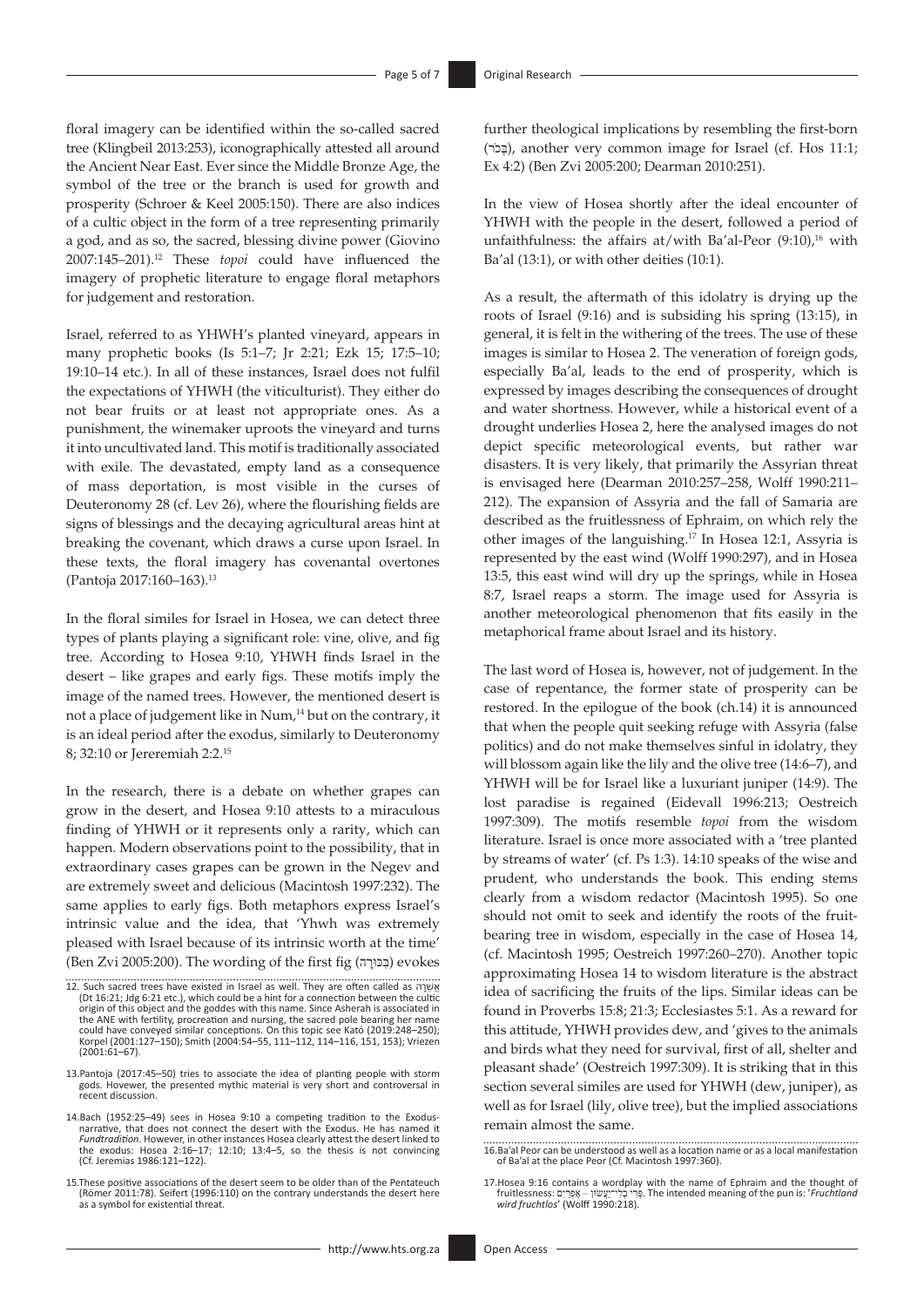floral imagery can be identified within the so-called sacred tree (Klingbeil 2013:253), iconographically attested all around the Ancient Near East. Ever since the Middle Bronze Age, the symbol of the tree or the branch is used for growth and prosperity (Schroer & Keel 2005:150). There are also indices of a cultic object in the form of a tree representing primarily a god, and as so, the sacred, blessing divine power (Giovino 2007:145–201).12 These *topoi* could have influenced the imagery of prophetic literature to engage floral metaphors for judgement and restoration.

Israel, referred to as YHWH's planted vineyard, appears in many prophetic books (Is 5:1–7; Jr 2:21; Ezk 15; 17:5–10; 19:10–14 etc.). In all of these instances, Israel does not fulfil the expectations of YHWH (the viticulturist). They either do not bear fruits or at least not appropriate ones. As a punishment, the winemaker uproots the vineyard and turns it into uncultivated land. This motif is traditionally associated with exile. The devastated, empty land as a consequence of mass deportation, is most visible in the curses of Deuteronomy 28 (cf. Lev 26), where the flourishing fields are signs of blessings and the decaying agricultural areas hint at breaking the covenant, which draws a curse upon Israel. In these texts, the floral imagery has covenantal overtones (Pantoja 2017:160–163).13

In the floral similes for Israel in Hosea, we can detect three types of plants playing a significant role: vine, olive, and fig tree. According to Hosea 9:10, YHWH finds Israel in the desert – like grapes and early figs. These motifs imply the image of the named trees. However, the mentioned desert is not a place of judgement like in Num,<sup>14</sup> but on the contrary, it is an ideal period after the exodus, similarly to Deuteronomy 8; 32:10 or Jereremiah 2:2.15

In the research, there is a debate on whether grapes can grow in the desert, and Hosea 9:10 attests to a miraculous finding of YHWH or it represents only a rarity, which can happen. Modern observations point to the possibility, that in extraordinary cases grapes can be grown in the Negev and are extremely sweet and delicious (Macintosh 1997:232). The same applies to early figs. Both metaphors express Israel's intrinsic value and the idea, that 'Yhwh was extremely pleased with Israel because of its intrinsic worth at the time' (Ben Zvi 2005:200). The wording of the first fig (בְּכֵּוּרָה) evokes

further theological implications by resembling the first-born (בְּכֹר), another very common image for Israel (cf. Hos 11:1; Ex 4:2) (Ben Zvi 2005:200; Dearman 2010:251).

In the view of Hosea shortly after the ideal encounter of YHWH with the people in the desert, followed a period of unfaithfulness: the affairs at/with Ba'al-Peor  $(9:10)$ ,<sup>16</sup> with Ba'al (13:1), or with other deities (10:1).

As a result, the aftermath of this idolatry is drying up the roots of Israel (9:16) and is subsiding his spring (13:15), in general, it is felt in the withering of the trees. The use of these images is similar to Hosea 2. The veneration of foreign gods, especially Ba'al, leads to the end of prosperity, which is expressed by images describing the consequences of drought and water shortness. However, while a historical event of a drought underlies Hosea 2, here the analysed images do not depict specific meteorological events, but rather war disasters. It is very likely, that primarily the Assyrian threat is envisaged here (Dearman 2010:257–258, Wolff 1990:211– 212). The expansion of Assyria and the fall of Samaria are described as the fruitlessness of Ephraim, on which rely the other images of the languishing.17 In Hosea 12:1, Assyria is represented by the east wind (Wolff 1990:297), and in Hosea 13:5, this east wind will dry up the springs, while in Hosea 8:7, Israel reaps a storm. The image used for Assyria is another meteorological phenomenon that fits easily in the metaphorical frame about Israel and its history.

The last word of Hosea is, however, not of judgement. In the case of repentance, the former state of prosperity can be restored. In the epilogue of the book (ch.14) it is announced that when the people quit seeking refuge with Assyria (false politics) and do not make themselves sinful in idolatry, they will blossom again like the lily and the olive tree (14:6–7), and YHWH will be for Israel like a luxuriant juniper (14:9). The lost paradise is regained (Eidevall 1996:213; Oestreich 1997:309). The motifs resemble *topoi* from the wisdom literature. Israel is once more associated with a 'tree planted by streams of water' (cf. Ps 1:3). 14:10 speaks of the wise and prudent, who understands the book. This ending stems clearly from a wisdom redactor (Macintosh 1995). So one should not omit to seek and identify the roots of the fruitbearing tree in wisdom, especially in the case of Hosea 14, (cf. Macintosh 1995; Oestreich 1997:260–270). Another topic approximating Hosea 14 to wisdom literature is the abstract idea of sacrificing the fruits of the lips. Similar ideas can be found in Proverbs 15:8; 21:3; Ecclesiastes 5:1. As a reward for this attitude, YHWH provides dew, and 'gives to the animals and birds what they need for survival, first of all, shelter and pleasant shade' (Oestreich 1997:309). It is striking that in this section several similes are used for YHWH (dew, juniper), as well as for Israel (lily, olive tree), but the implied associations remain almost the same.

<sup>12.</sup> Such sacred trees have existed in Israel as well. They are often called as ה ָר ֵשֲׁא (Dt 16:21; Jdg 6:21 etc.), which could be a hint for a connection between the cultic<br>origin of this object and the goddes with this name. Since Asherah is associated in<br>the ANE with fertility, procreation and nursing, the could have conveyed similar conceptions. On this topic see Kató (2019:248–250); Korpel (2001:127–150); Smith (2004:54–55, 111–112, 114–116, 151, 153); Vriezen (2001:61–67).

<sup>13.</sup>Pantoja (2017:45–50) tries to associate the idea of planting people with storm gods. Hovewer, the presented mythic material is very short and controversal in recent discussion.

<sup>14.</sup>Bach (1952:25–49) sees in Hosea 9:10 a competing tradition to the Exodus-narrative, that does not connect the desert with the Exodus. He has named it *Fundtradition*. However, in other instances Hosea clearly attest the desert linked to the exodus: Hosea 2:16–17; 12:10; 13:4–5, so the thesis is not convincing (Cf. Jeremias 1986:121–122).

<sup>15.</sup>These positive associations of the desert seem to be older than of the Pentateuch (Römer 2011:78). Seifert (1996:110) on the contrary understands the desert here as a symbol for existential threat.

<sup>16.</sup>Ba'al Peor can be understood as well as a location name or as a local manifestation of Ba'al at the place Peor (Cf. Macintosh 1997:360).

<sup>17.</sup>Hosea 9:16 contains a wordplay with the name of Ephraim and the thought of  *Fruchtland* ':is pun the of meaning intended The ּ.פְרִ י בְלִי־יַעֲׂשּון – אֶפְרַ יִם :fruitlessness *wird fruchtlos*' (Wolff 1990:218).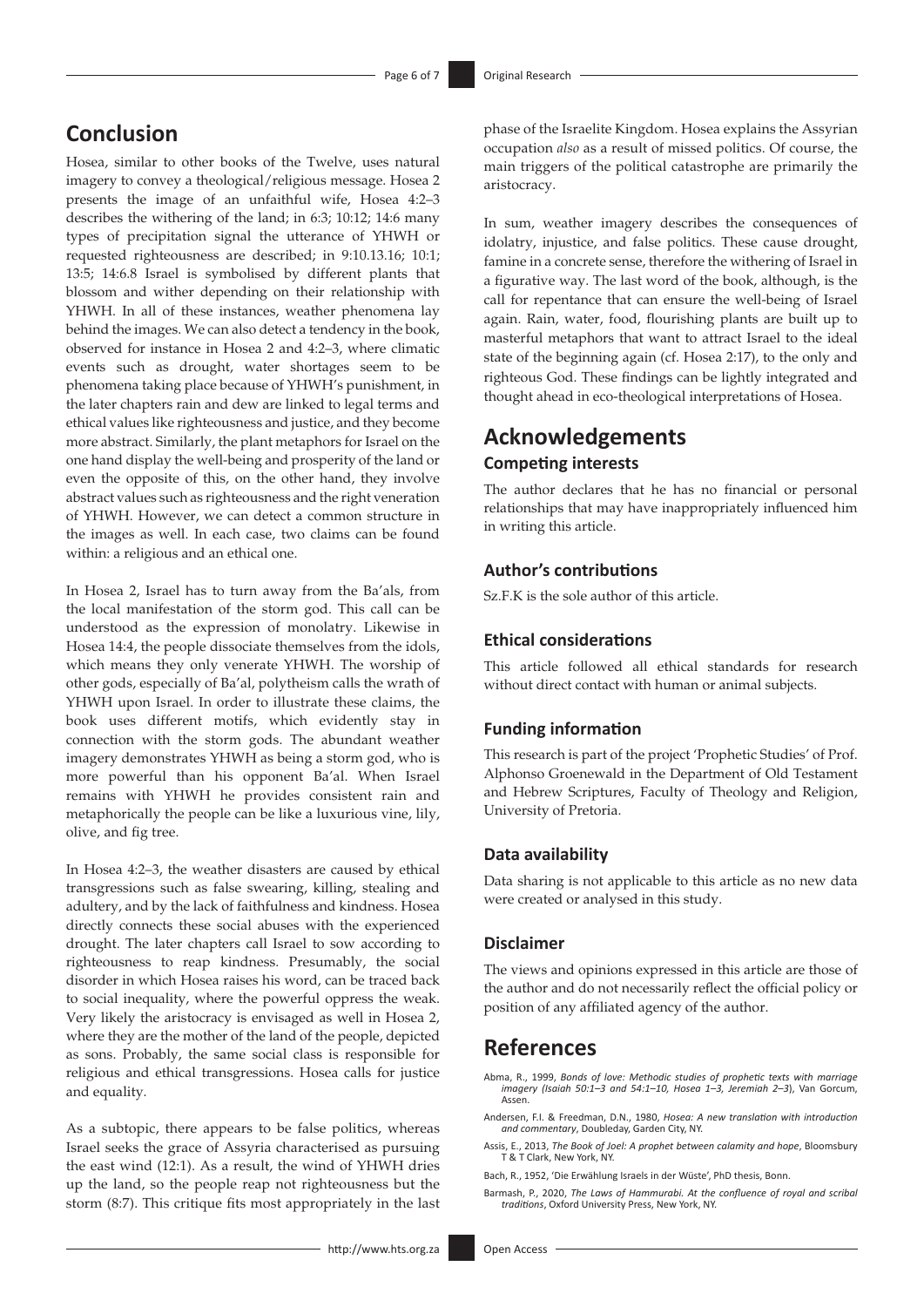# **Conclusion**

Hosea, similar to other books of the Twelve, uses natural imagery to convey a theological/religious message. Hosea 2 presents the image of an unfaithful wife, Hosea 4:2–3 describes the withering of the land; in 6:3; 10:12; 14:6 many types of precipitation signal the utterance of YHWH or requested righteousness are described; in 9:10.13.16; 10:1; 13:5; 14:6.8 Israel is symbolised by different plants that blossom and wither depending on their relationship with YHWH. In all of these instances, weather phenomena lay behind the images. We can also detect a tendency in the book, observed for instance in Hosea 2 and 4:2–3, where climatic events such as drought, water shortages seem to be phenomena taking place because of YHWH's punishment, in the later chapters rain and dew are linked to legal terms and ethical values like righteousness and justice, and they become more abstract. Similarly, the plant metaphors for Israel on the one hand display the well-being and prosperity of the land or even the opposite of this, on the other hand, they involve abstract values such as righteousness and the right veneration of YHWH. However, we can detect a common structure in the images as well. In each case, two claims can be found within: a religious and an ethical one.

In Hosea 2, Israel has to turn away from the Ba'als, from the local manifestation of the storm god. This call can be understood as the expression of monolatry. Likewise in Hosea 14:4, the people dissociate themselves from the idols, which means they only venerate YHWH. The worship of other gods, especially of Ba'al, polytheism calls the wrath of YHWH upon Israel. In order to illustrate these claims, the book uses different motifs, which evidently stay in connection with the storm gods. The abundant weather imagery demonstrates YHWH as being a storm god, who is more powerful than his opponent Ba'al. When Israel remains with YHWH he provides consistent rain and metaphorically the people can be like a luxurious vine, lily, olive, and fig tree.

In Hosea 4:2–3, the weather disasters are caused by ethical transgressions such as false swearing, killing, stealing and adultery, and by the lack of faithfulness and kindness. Hosea directly connects these social abuses with the experienced drought. The later chapters call Israel to sow according to righteousness to reap kindness. Presumably, the social disorder in which Hosea raises his word, can be traced back to social inequality, where the powerful oppress the weak. Very likely the aristocracy is envisaged as well in Hosea 2, where they are the mother of the land of the people, depicted as sons. Probably, the same social class is responsible for religious and ethical transgressions. Hosea calls for justice and equality.

As a subtopic, there appears to be false politics, whereas Israel seeks the grace of Assyria characterised as pursuing the east wind (12:1). As a result, the wind of YHWH dries up the land, so the people reap not righteousness but the storm (8:7). This critique fits most appropriately in the last

In sum, weather imagery describes the consequences of idolatry, injustice, and false politics. These cause drought, famine in a concrete sense, therefore the withering of Israel in a figurative way. The last word of the book, although, is the call for repentance that can ensure the well-being of Israel again. Rain, water, food, flourishing plants are built up to masterful metaphors that want to attract Israel to the ideal state of the beginning again (cf. Hosea 2:17), to the only and righteous God. These findings can be lightly integrated and thought ahead in eco-theological interpretations of Hosea.

# **Acknowledgements Competing interests**

The author declares that he has no financial or personal relationships that may have inappropriately influenced him in writing this article.

### **Author's contributions**

Sz.F.K is the sole author of this article.

### **Ethical considerations**

This article followed all ethical standards for research without direct contact with human or animal subjects.

### **Funding information**

This research is part of the project 'Prophetic Studies' of Prof. Alphonso Groenewald in the Department of Old Testament and Hebrew Scriptures, Faculty of Theology and Religion, University of Pretoria.

#### **Data availability**

Data sharing is not applicable to this article as no new data were created or analysed in this study.

#### **Disclaimer**

The views and opinions expressed in this article are those of the author and do not necessarily reflect the official policy or position of any affiliated agency of the author.

### **References**

Abma, R., 1999, *Bonds of love: Methodic studies of prophetic texts with marriage imagery (Isaiah 50:1–3 and 54:1–10, Hosea 1–3, Jeremiah 2–3*), Van Gorcum, Assen.

- Andersen, F.I. & Freedman, D.N., 1980, *Hosea: A new translation with introduction and commentary*, Doubleday, Garden City, NY.
- Assis, E., 2013, *The Book of Joel: A prophet between calamity and hope*, Bloomsbury T & T Clark, New York, NY.
- Bach, R., 1952, 'Die Erwählung Israels in der Wüste', PhD thesis, Bonn.
- Barmash, P., 2020, *The Laws of Hammurabi. At the confluence of royal and scribal traditions*, Oxford University Press, New York, NY.